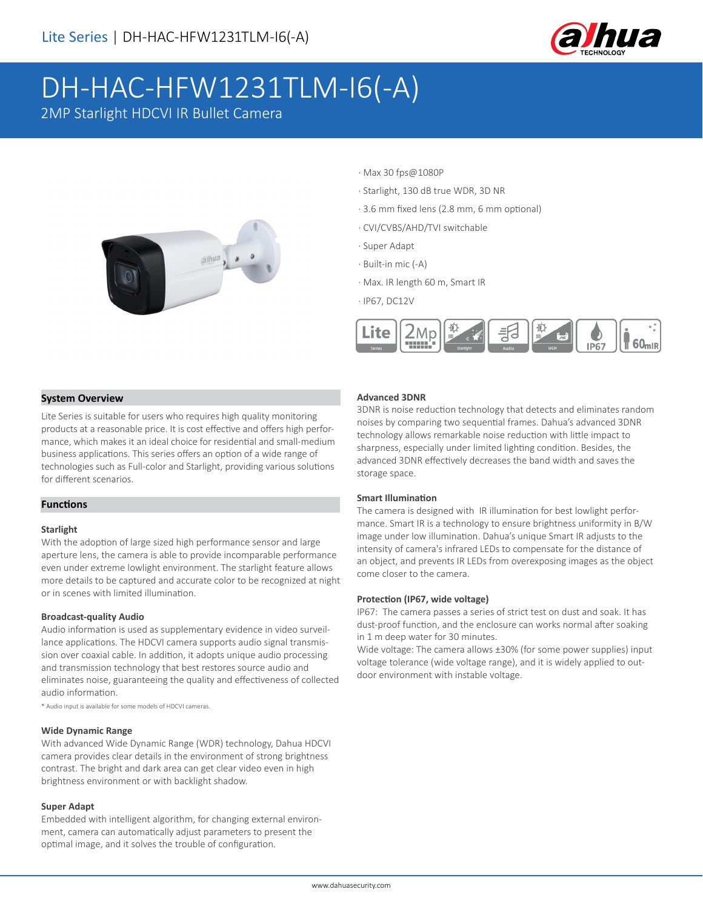

# DH-HAC-HFW1231TLM-I6(-A)

2MP Starlight HDCVI IR Bullet Camera



- · Max 30 fps@1080P
- · Starlight, 130 dB true WDR, 3D NR
- · 3.6 mm fixed lens (2.8 mm, 6 mm optional)
- · CVI/CVBS/AHD/TVI switchable
- · Super Adapt
- · Built-in mic (-A)
- · Max. IR length 60 m, Smart IR
- · IP67, DC12V



#### **System Overview**

Lite Series is suitable for users who requires high quality monitoring products at a reasonable price. It is cost effective and offers high performance, which makes it an ideal choice for residential and small-medium business applications. This series offers an option of a wide range of technologies such as Full-color and Starlight, providing various solutions for different scenarios.

#### **Functions**

#### **Starlight**

With the adoption of large sized high performance sensor and large aperture lens, the camera is able to provide incomparable performance even under extreme lowlight environment. The starlight feature allows more details to be captured and accurate color to be recognized at night or in scenes with limited illumination.

#### **Broadcast-quality Audio**

Audio information is used as supplementary evidence in video surveillance applications. The HDCVI camera supports audio signal transmission over coaxial cable. In addition, it adopts unique audio processing and transmission technology that best restores source audio and eliminates noise, guaranteeing the quality and effectiveness of collected audio information.

\* Audio input is available for some models of HDCVI cameras.

#### **Wide Dynamic Range**

With advanced Wide Dynamic Range (WDR) technology, Dahua HDCVI camera provides clear details in the environment of strong brightness contrast. The bright and dark area can get clear video even in high brightness environment or with backlight shadow.

#### **Super Adapt**

Embedded with intelligent algorithm, for changing external environment, camera can automatically adjust parameters to present the optimal image, and it solves the trouble of configuration.

#### **Advanced 3DNR**

3DNR is noise reduction technology that detects and eliminates random noises by comparing two sequential frames. Dahua's advanced 3DNR technology allows remarkable noise reduction with little impact to sharpness, especially under limited lighting condition. Besides, the advanced 3DNR effectively decreases the band width and saves the storage space.

#### **Smart Illumination**

The camera is designed with IR illumination for best lowlight performance. Smart IR is a technology to ensure brightness uniformity in B/W image under low illumination. Dahua's unique Smart IR adjusts to the intensity of camera's infrared LEDs to compensate for the distance of an object, and prevents IR LEDs from overexposing images as the object come closer to the camera.

#### **Protection (IP67, wide voltage)**

IP67: The camera passes a series of strict test on dust and soak. It has dust-proof function, and the enclosure can works normal after soaking in 1 m deep water for 30 minutes.

Wide voltage: The camera allows ±30% (for some power supplies) input voltage tolerance (wide voltage range), and it is widely applied to outdoor environment with instable voltage.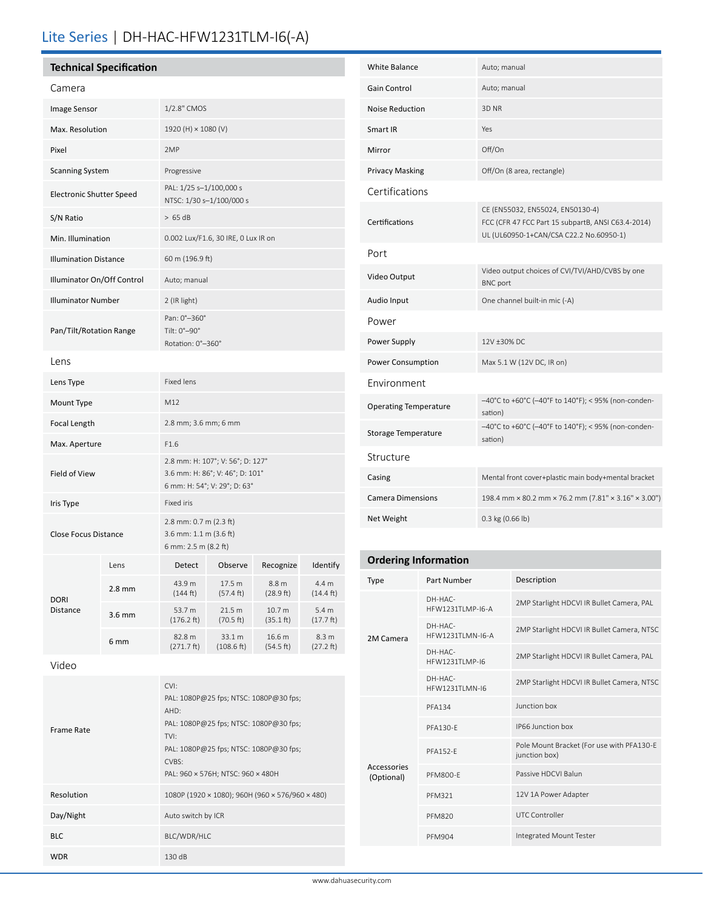# Lite Series | DH-HAC-HFW1231TLM-I6(-A)

# **Technical Specification**

| iecnnicai specincation          |                  |                                                                                                     |                     |                    |                              |  |
|---------------------------------|------------------|-----------------------------------------------------------------------------------------------------|---------------------|--------------------|------------------------------|--|
| Camera                          |                  |                                                                                                     |                     |                    |                              |  |
| Image Sensor                    |                  | 1/2.8" CMOS                                                                                         |                     |                    |                              |  |
| Max. Resolution                 |                  | 1920 (H) × 1080 (V)                                                                                 |                     |                    |                              |  |
| Pixel                           |                  | 2MP                                                                                                 |                     |                    |                              |  |
| <b>Scanning System</b>          |                  | Progressive                                                                                         |                     |                    |                              |  |
| <b>Electronic Shutter Speed</b> |                  | PAL: 1/25 s-1/100,000 s<br>NTSC: 1/30 s-1/100/000 s                                                 |                     |                    |                              |  |
| S/N Ratio                       |                  | > 65 dB                                                                                             |                     |                    |                              |  |
| Min. Illumination               |                  | 0.002 Lux/F1.6, 30 IRE, 0 Lux IR on                                                                 |                     |                    |                              |  |
| <b>Illumination Distance</b>    |                  | 60 m (196.9 ft)                                                                                     |                     |                    |                              |  |
| Illuminator On/Off Control      |                  | Auto; manual                                                                                        |                     |                    |                              |  |
| <b>Illuminator Number</b>       |                  | 2 (IR light)                                                                                        |                     |                    |                              |  |
| Pan/Tilt/Rotation Range         |                  | Pan: 0°-360°<br>Tilt: 0°-90°<br>Rotation: 0°-360°                                                   |                     |                    |                              |  |
| Lens                            |                  |                                                                                                     |                     |                    |                              |  |
| Lens Type                       |                  | <b>Fixed lens</b>                                                                                   |                     |                    |                              |  |
| Mount Type                      |                  | M12                                                                                                 |                     |                    |                              |  |
| Focal Length                    |                  | 2.8 mm; 3.6 mm; 6 mm                                                                                |                     |                    |                              |  |
| Max. Aperture                   |                  | F1.6                                                                                                |                     |                    |                              |  |
| Field of View                   |                  | 2.8 mm: H: 107°; V: 56°; D: 127°<br>3.6 mm: H: 86°; V: 46°; D: 101°<br>6 mm: H: 54°; V: 29°; D: 63° |                     |                    |                              |  |
| Iris Type                       |                  | Fixed iris                                                                                          |                     |                    |                              |  |
| <b>Close Focus Distance</b>     |                  | 2.8 mm: 0.7 m (2.3 ft)<br>3.6 mm: 1.1 m (3.6 ft)<br>6 mm: 2.5 m (8.2 ft)                            |                     |                    |                              |  |
|                                 | Lens             | Detect                                                                                              | Observe             | Recognize          | Identify                     |  |
|                                 | $2.8 \text{ mm}$ | 43.9 m<br>(144 ft)                                                                                  | 17.5 m<br>(57.4 ft) | 8.8 m<br>(28.9 ft) | 4.4 m<br>$(14.4 \text{ ft})$ |  |

| <b>White Balance</b>         | Auto; manual                                                                                                                      |
|------------------------------|-----------------------------------------------------------------------------------------------------------------------------------|
| Gain Control                 | Auto; manual                                                                                                                      |
| <b>Noise Reduction</b>       | 3D NR                                                                                                                             |
| Smart IR                     | Yes                                                                                                                               |
| Mirror                       | Off/On                                                                                                                            |
| <b>Privacy Masking</b>       | Off/On (8 area, rectangle)                                                                                                        |
| Certifications               |                                                                                                                                   |
| Certifications               | CE (EN55032, EN55024, EN50130-4)<br>FCC (CFR 47 FCC Part 15 subpartB, ANSI C63.4-2014)<br>UL (UL60950-1+CAN/CSA C22.2 No.60950-1) |
| Port                         |                                                                                                                                   |
| Video Output                 | Video output choices of CVI/TVI/AHD/CVBS by one<br><b>BNC</b> port                                                                |
| Audio Input                  | One channel built-in mic (-A)                                                                                                     |
| Power                        |                                                                                                                                   |
| Power Supply                 | 12V ±30% DC                                                                                                                       |
| Power Consumption            | Max 5.1 W (12V DC, IR on)                                                                                                         |
| Environment                  |                                                                                                                                   |
| <b>Operating Temperature</b> | -40°C to +60°C (-40°F to 140°F); < 95% (non-conden-<br>sation)                                                                    |
| Storage Temperature          | -40°C to +60°C (-40°F to 140°F); < 95% (non-conden-<br>sation)                                                                    |
| Structure                    |                                                                                                                                   |
| Casing                       | Mental front cover+plastic main body+mental bracket                                                                               |
|                              |                                                                                                                                   |
| <b>Camera Dimensions</b>     | 198.4 mm × 80.2 mm × 76.2 mm (7.81" × 3.16" × 3.00")                                                                              |

## **Ordering Information**

| Type                      | Part Number                           | Description                                                |  |
|---------------------------|---------------------------------------|------------------------------------------------------------|--|
| 2M Camera                 | $DH-HAC-$<br><b>HFW1231TI MP-I6-A</b> | 2MP Starlight HDCVI IR Bullet Camera, PAL                  |  |
|                           | DH-HAC-<br><b>HFW1231TI MN-I6-A</b>   | 2MP Starlight HDCVI IR Bullet Camera, NTSC                 |  |
|                           | $DH-HAC-$<br><b>HFW1231TI MP-16</b>   | 2MP Starlight HDCVI IR Bullet Camera, PAL                  |  |
|                           | DH-HAC-<br><b>HFW1231TI MN-16</b>     | 2MP Starlight HDCVI IR Bullet Camera, NTSC                 |  |
| Accessories<br>(Optional) | <b>PFA134</b>                         | Junction box                                               |  |
|                           | PFA130-F                              | IP66 Junction box                                          |  |
|                           | <b>PFA152-F</b>                       | Pole Mount Bracket (For use with PFA130-E<br>junction box) |  |
|                           | <b>PFM800-F</b>                       | Passive HDCVI Balun                                        |  |
|                           | <b>PFM321</b>                         | 12V 1A Power Adapter                                       |  |
|                           | <b>PFM820</b>                         | <b>UTC Controller</b>                                      |  |
|                           | <b>PFM904</b>                         | Integrated Mount Tester                                    |  |

## Video

DORI Distance

|            | CVI:                                            |
|------------|-------------------------------------------------|
|            | PAL: 1080P@25 fps; NTSC: 1080P@30 fps;          |
|            | AHD:                                            |
| Frame Rate | PAL: 1080P@25 fps; NTSC: 1080P@30 fps;          |
|            | TVI:                                            |
|            | PAL: 1080P@25 fps; NTSC: 1080P@30 fps;          |
|            | CVBS:                                           |
|            | PAL: 960 × 576H; NTSC: 960 × 480H               |
| Resolution | 1080P (1920 × 1080); 960H (960 × 576/960 × 480) |
| Day/Night  | Auto switch by ICR                              |
| <b>BLC</b> | BLC/WDR/HLC                                     |
| <b>WDR</b> | 130 dB                                          |

(271.7 ft)

21.5 m (70.5 ft)

 33.1 m (108.6 ft)

10.7 m (35.1 ft)

16.6 m (54.5 ft)

5.4 m (17.7 ft)

 8.3 m (27.2 ft)

3.6 mm 53.7 m (176.2 ft)

6 mm 82.8 m